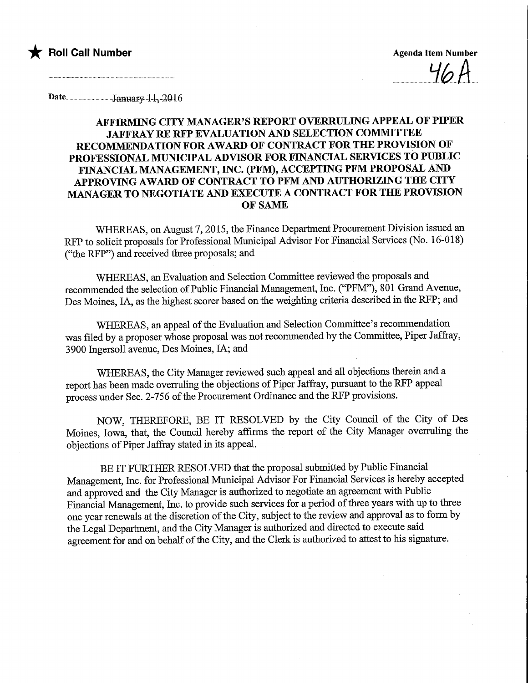

Date...................................January.11, 20.16

## AFFIRMING CITY MANAGER'S REPORT OVERRULING APPEAL OF PIPER JAFFRAY RE RFP EVALUATION AND SELECTION COMMITTEE RECOMMENDATION FOR AWARD OF CONTRACT FOR THE PROVISION OF PROFESSIONAL MUNICIPAL ADVISOR FOR FINANCIAL SERVICES TO PUBLIC FINANCIAL MANAGEMENT, INC. (PFM), ACCEPTmG PFM PROPOSAL AND APPROVING AWARD OF CONTRACT TO PFM AND AUTHORIZING THE CITY MANAGER TO NEGOTIATE AND EXECUTE A CONTRACT FOR THE PROVISION OF SAME

WHEREAS, on August 7, 2015, the Finance Department Procurement Division issued an RFP to solicit proposals for Professional Municipal Advisor For Financial Services (No. 16-018) ("the RFP") and received three proposals; and

WHEREAS, an Evaluation and Selection Committee reviewed the proposals and recommended the selection of Public Financial Management, Inc. ("PFM"), 801 Grand Avenue, Des Moines, IA, as the highest scorer based on the weighting criteria described in the RFP; and

WHEREAS, an appeal of the Evaluation and Selection Committee's recommendation was filed by a proposer whose proposal was not recommended by the Committee, Piper Jaffiay, 3900 Ingersoll avenue, Des Moines, IA; and

WHEREAS, the City Manager reviewed such appeal and all objections therein and a report has been made overruling the objections of Piper Jaffray, pursuant to the RFP appeal process under Sec. 2-756 of the Procurement Ordinance and the RFP provisions.

NOW, THEREFORE, BE IT RESOLVED by the City Council of the City of Des Moines, Iowa, that, the Council hereby affirms the report of the City Manager overruling the objections of Piper Jaffray stated in its appeal.

BE IT FURTHER RESOLVED that the proposal submitted by Public Financial Management, Inc. for Professional Municipal Advisor For Financial Services is hereby accepted and approved and the City Manager is authorized to negotiate an agreement with Public Financial Management, Inc. to provide such services for a period of three years with up to three one year renewals at the discretion of the City, subject to fhe review and approval as to form by the Legal Department, and the City Manager is authorized and directed to execute said agreement for and on behalf of the City, and the Clerk is authorized to attest to his signature.